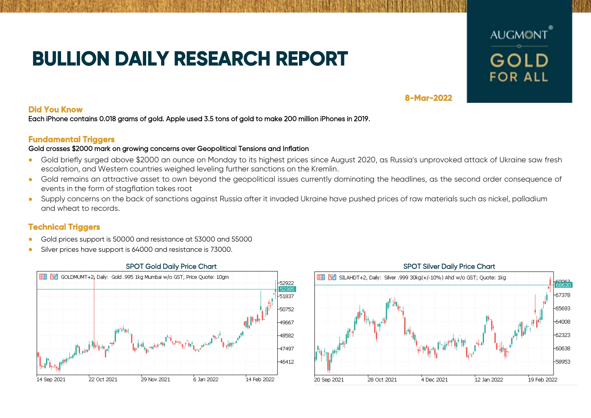# **BULLION DAILY RESEARCH REPORT**



# **8-Mar-2022**

### **Did You Know**

Each iPhone contains 0.018 grams of gold. Apple used 3.5 tons of gold to make 200 million iPhones in 2019.

# **Fundamental Triggers**

### Gold crosses \$2000 mark on growing concerns over Geopolitical Tensions and Inflation

- Gold briefly surged above \$2000 an ounce on Monday to its highest prices since August 2020, as Russia's unprovoked attack of Ukraine saw fresh escalation, and Western countries weighed leveling further sanctions on the Kremlin.
- Gold remains an attractive asset to own beyond the geopolitical issues currently dominating the headlines, as the second order consequence of events in the form of stagflation takes root
- Supply concerns on the back of sanctions against Russia after it invaded Ukraine have pushed prices of raw materials such as nickel, palladium and wheat to records.

# **Technical Triggers**

- Gold prices support is 50000 and resistance at 53000 and 55000
- Silver prices have support is 64000 and resistance is 73000.